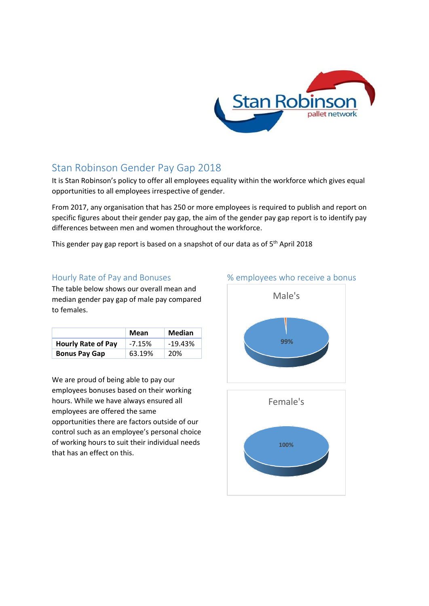

## Stan Robinson Gender Pay Gap 2018

It is Stan Robinson's policy to offer all employees equality within the workforce which gives equal opportunities to all employees irrespective of gender.

From 2017, any organisation that has 250 or more employees is required to publish and report on specific figures about their gender pay gap, the aim of the gender pay gap report is to identify pay differences between men and women throughout the workforce.

This gender pay gap report is based on a snapshot of our data as of 5<sup>th</sup> April 2018

## Hourly Rate of Pay and Bonuses

The table below shows our overall mean and median gender pay gap of male pay compared to females.

|                           | Mean     | Median    |
|---------------------------|----------|-----------|
| <b>Hourly Rate of Pay</b> | $-7.15%$ | $-19.43%$ |
| <b>Bonus Pay Gap</b>      | 63.19%   | 20%       |

We are proud of being able to pay our employees bonuses based on their working hours. While we have always ensured all employees are offered the same opportunities there are factors outside of our control such as an employee's personal choice of working hours to suit their individual needs that has an effect on this.

## % employees who receive a bonus